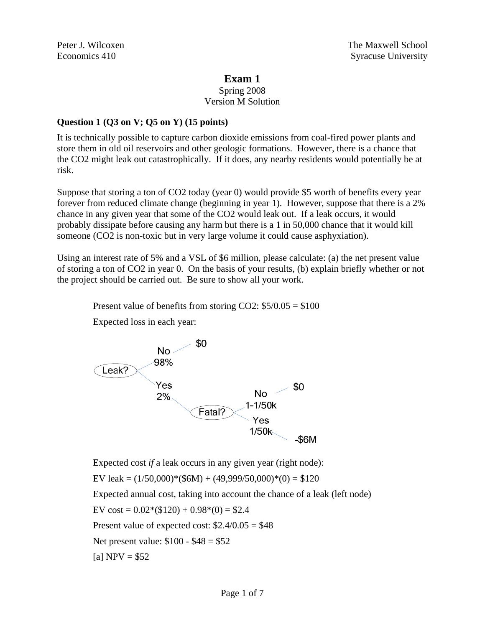# **Exam 1**

## Spring 2008 Version M Solution

# **Question 1 (Q3 on V; Q5 on Y) (15 points)**

It is technically possible to capture carbon dioxide emissions from coal-fired power plants and store them in old oil reservoirs and other geologic formations. However, there is a chance that the CO2 might leak out catastrophically. If it does, any nearby residents would potentially be at risk.

Suppose that storing a ton of CO2 today (year 0) would provide \$5 worth of benefits every year forever from reduced climate change (beginning in year 1). However, suppose that there is a 2% chance in any given year that some of the CO2 would leak out. If a leak occurs, it would probably dissipate before causing any harm but there is a 1 in 50,000 chance that it would kill someone (CO2 is non-toxic but in very large volume it could cause asphyxiation).

Using an interest rate of 5% and a VSL of \$6 million, please calculate: (a) the net present value of storing a ton of CO2 in year 0. On the basis of your results, (b) explain briefly whether or not the project should be carried out. Be sure to show all your work.

Present value of benefits from storing CO2:  $$5/0.05 = $100$ 

Expected loss in each year:



Expected cost *if* a leak occurs in any given year (right node):

EV leak =  $(1/50,000)*(\$6M) + (49,999/50,000)*(0) = \$120$ 

Expected annual cost, taking into account the chance of a leak (left node)

EV cost =  $0.02*(120) + 0.98*(0) = $2.4$ 

Present value of expected cost:  $$2.4/0.05 = $48$ 

Net present value: \$100 - \$48 = \$52

[a]  $NPV = $52$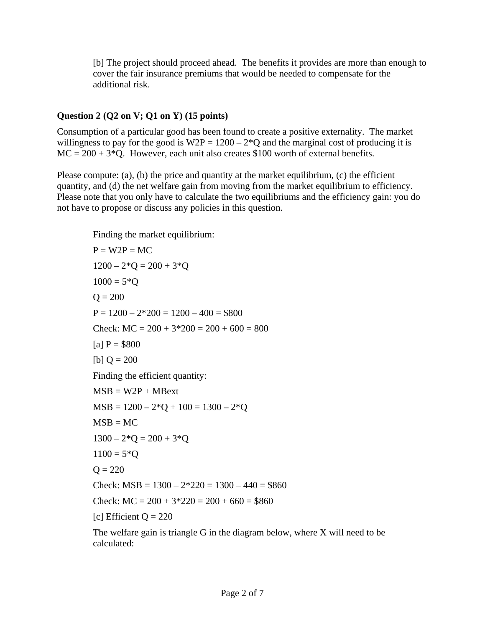[b] The project should proceed ahead. The benefits it provides are more than enough to cover the fair insurance premiums that would be needed to compensate for the additional risk.

## **Question 2 (Q2 on V; Q1 on Y) (15 points)**

Consumption of a particular good has been found to create a positive externality. The market willingness to pay for the good is  $W2P = 1200 - 2*Q$  and the marginal cost of producing it is  $MC = 200 + 3*Q$ . However, each unit also creates \$100 worth of external benefits.

Please compute: (a), (b) the price and quantity at the market equilibrium, (c) the efficient quantity, and (d) the net welfare gain from moving from the market equilibrium to efficiency. Please note that you only have to calculate the two equilibriums and the efficiency gain: you do not have to propose or discuss any policies in this question.

Finding the market equilibrium:  $P = W2P = MC$  $1200 - 2*Q = 200 + 3*Q$  $1000 = 5*Q$  $Q = 200$  $P = 1200 - 2*200 = 1200 - 400 = $800$ Check:  $MC = 200 + 3*200 = 200 + 600 = 800$ [a]  $P = $800$ [b]  $Q = 200$ Finding the efficient quantity:  $MSB = W2P + MBext$  $MSB = 1200 - 2*Q + 100 = 1300 - 2*Q$  $MSB = MC$  $1300 - 2*$ O = 200 + 3\*O  $1100 = 5*Q$  $Q = 220$ Check:  $MSB = 1300 - 2*220 = 1300 - 440 = $860$ Check:  $MC = 200 + 3*220 = 200 + 660 = $860$ [c] Efficient  $Q = 220$ 

The welfare gain is triangle G in the diagram below, where X will need to be calculated: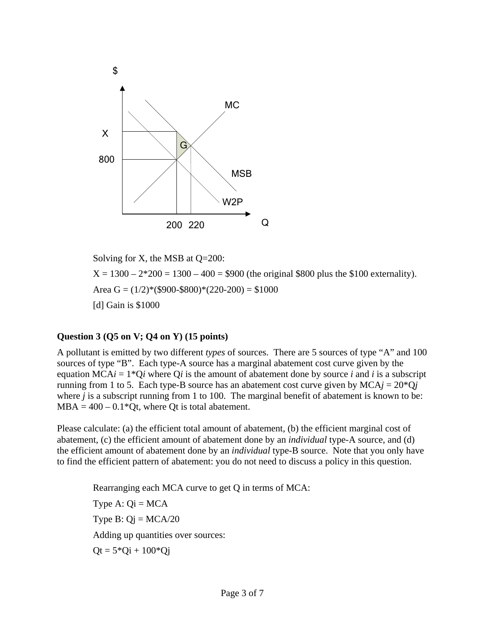

Solving for X, the MSB at Q=200:

 $X = 1300 - 2*200 = 1300 - 400 = $900$  (the original \$800 plus the \$100 externality). Area G =  $(1/2)$ <sup>\*</sup>(\$900-\$800)<sup>\*</sup>(220-200) = \$1000 [d] Gain is \$1000

### **Question 3 (Q5 on V; Q4 on Y) (15 points)**

A pollutant is emitted by two different *types* of sources. There are 5 sources of type "A" and 100 sources of type "B". Each type-A source has a marginal abatement cost curve given by the equation  $MCAi = 1*Qi$  where  $Qi$  is the amount of abatement done by source *i* and *i* is a subscript running from 1 to 5. Each type-B source has an abatement cost curve given by  $MCAj = 20*Qj$ where *j* is a subscript running from 1 to 100. The marginal benefit of abatement is known to be:  $MBA = 400 - 0.1*Qt$ , where Qt is total abatement.

Please calculate: (a) the efficient total amount of abatement, (b) the efficient marginal cost of abatement, (c) the efficient amount of abatement done by an *individual* type-A source, and (d) the efficient amount of abatement done by an *individual* type-B source. Note that you only have to find the efficient pattern of abatement: you do not need to discuss a policy in this question.

Rearranging each MCA curve to get Q in terms of MCA: Type A:  $Qi = MCA$ Type B:  $Qj = MCA/20$ Adding up quantities over sources:  $Qt = 5*Qi + 100*Qi$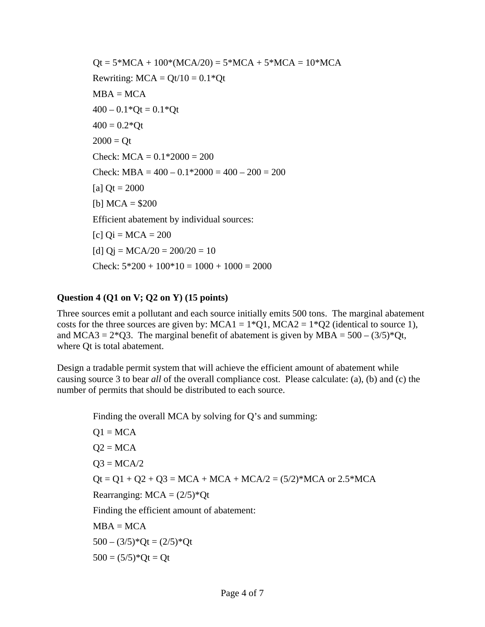$Qt = 5 * MCA + 100 * (MCA/20) = 5 * MCA + 5 * MCA = 10 * MCA$ Rewriting:  $MCA = Qt/10 = 0.1*Qt$  $MBA = MCA$  $400 - 0.1*$ Qt = 0.1\*Qt  $400 = 0.2*Qt$  $2000 = Qt$ Check:  $MCA = 0.1*2000 = 200$ Check: MBA =  $400 - 0.1*2000 = 400 - 200 = 200$  $[a]$  Qt = 2000 [b]  $MCA = $200$  Efficient abatement by individual sources:  $[c]$  Qi = MCA = 200 [d]  $Qj = MCA/20 = 200/20 = 10$ Check:  $5*200 + 100*10 = 1000 + 1000 = 2000$ 

#### **Question 4 (Q1 on V; Q2 on Y) (15 points)**

Three sources emit a pollutant and each source initially emits 500 tons. The marginal abatement costs for the three sources are given by:  $MCA1 = 1*Q1$ ,  $MCA2 = 1*Q2$  (identical to source 1), and MCA3 =  $2*Q3$ . The marginal benefit of abatement is given by MBA =  $500 - (3/5)*Qt$ , where Qt is total abatement.

Design a tradable permit system that will achieve the efficient amount of abatement while causing source 3 to bear *all* of the overall compliance cost. Please calculate: (a), (b) and (c) the number of permits that should be distributed to each source.

Finding the overall MCA by solving for Q's and summing:

 $Q1 = MCA$  $Q2 = MCA$  $Q3 = MCA/2$  $Qt = Q1 + Q2 + Q3 = MCA + MCA + MCA/2 = (5/2)*MCA$  or  $2.5*MCA$ Rearranging:  $MCA = (2/5)*Qt$ Finding the efficient amount of abatement:  $MBA = MCA$  $500 - (3/5)*Qt = (2/5)*Qt$  $500 = (5/5)*Qt = Qt$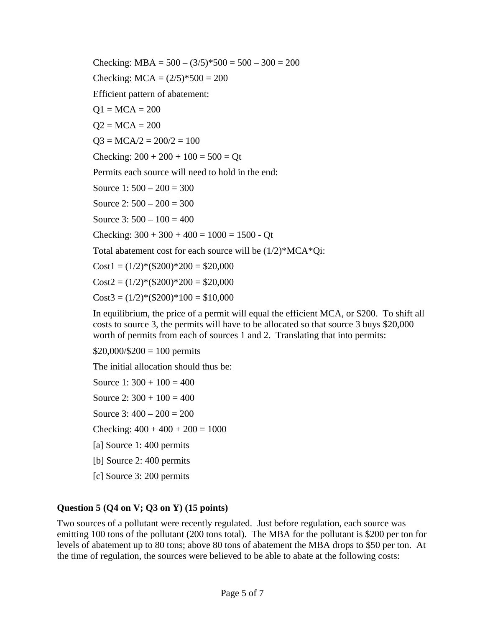Checking:  $MBA = 500 - (3/5)*500 = 500 - 300 = 200$ Checking:  $MCA = (2/5)*500 = 200$ Efficient pattern of abatement:  $Q1 = MCA = 200$  $Q2 = MCA = 200$  $Q3 = MCA/2 = 200/2 = 100$ Checking:  $200 + 200 + 100 = 500 = Qt$ Permits each source will need to hold in the end: Source 1:  $500 - 200 = 300$ Source  $2: 500 - 200 = 300$ Source  $3:500 - 100 = 400$ Checking:  $300 + 300 + 400 = 1000 = 1500$  - Qt Total abatement cost for each source will be (1/2)\*MCA\*Qi:  $Cost1 = (1/2)*(\$200)*200 = \$20,000$  $Cost2 = (1/2)*(\$200)*200 = \$20,000$  $Cost3 = (1/2)*(\$200)*100 = \$10,000$ 

In equilibrium, the price of a permit will equal the efficient MCA, or \$200. To shift all costs to source 3, the permits will have to be allocated so that source 3 buys \$20,000 worth of permits from each of sources 1 and 2. Translating that into permits:

 $$20,000/$200 = 100$  permits

The initial allocation should thus be:

Source 1:  $300 + 100 = 400$ Source 2:  $300 + 100 = 400$ Source 3:  $400 - 200 = 200$ Checking:  $400 + 400 + 200 = 1000$ [a] Source 1: 400 permits [b] Source 2: 400 permits [c] Source 3: 200 permits

### **Question 5 (Q4 on V; Q3 on Y) (15 points)**

Two sources of a pollutant were recently regulated. Just before regulation, each source was emitting 100 tons of the pollutant (200 tons total). The MBA for the pollutant is \$200 per ton for levels of abatement up to 80 tons; above 80 tons of abatement the MBA drops to \$50 per ton. At the time of regulation, the sources were believed to be able to abate at the following costs: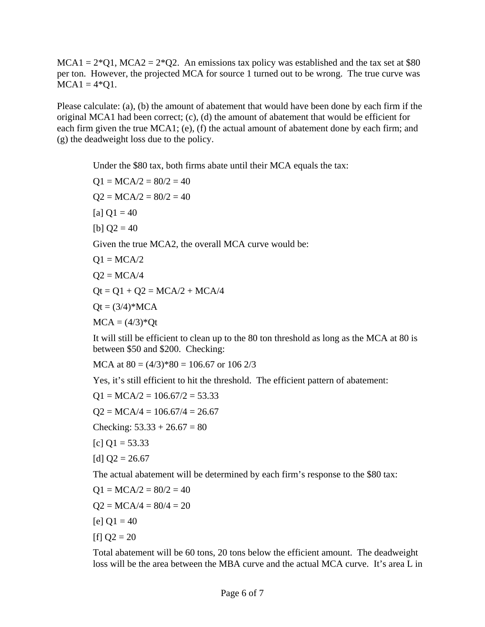$MCA1 = 2*Q1$ ,  $MCA2 = 2*Q2$ . An emissions tax policy was established and the tax set at \$80 per ton. However, the projected MCA for source 1 turned out to be wrong. The true curve was  $MCA1 = 4*Q1$ .

Please calculate: (a), (b) the amount of abatement that would have been done by each firm if the original MCA1 had been correct; (c), (d) the amount of abatement that would be efficient for each firm given the true MCA1; (e), (f) the actual amount of abatement done by each firm; and (g) the deadweight loss due to the policy.

Under the \$80 tax, both firms abate until their MCA equals the tax:

 $Q1 = MCA/2 = 80/2 = 40$  $Q2 = MCA/2 = 80/2 = 40$ [a]  $Q1 = 40$ [b]  $Q2 = 40$ Given the true MCA2, the overall MCA curve would be:  $Q1 = MCA/2$  $Q2 = MCA/4$  $Qt = Q1 + Q2 = MCA/2 + MCA/4$  $Qt = (3/4)*MCA$  $MCA = (4/3)*Qt$ 

It will still be efficient to clean up to the 80 ton threshold as long as the MCA at 80 is between \$50 and \$200. Checking:

MCA at  $80 = (4/3)*80 = 106.67$  or  $106\frac{2}{3}$ 

Yes, it's still efficient to hit the threshold. The efficient pattern of abatement:

$$
Q1 = MCA/2 = 106.67/2 = 53.33
$$

$$
Q2 = MCA/4 = 106.67/4 = 26.67
$$

Checking:  $53.33 + 26.67 = 80$ 

 $[c] Q1 = 53.33$ 

$$
[d] \, Q2 = 26.67
$$

The actual abatement will be determined by each firm's response to the \$80 tax:

$$
Q1 = MCA/2 = 80/2 = 40
$$
  
Q2 = MCA/4 = 80/4 = 20  
[e] Q1 = 40  
[f] Q2 = 20

Total abatement will be 60 tons, 20 tons below the efficient amount. The deadweight loss will be the area between the MBA curve and the actual MCA curve. It's area L in